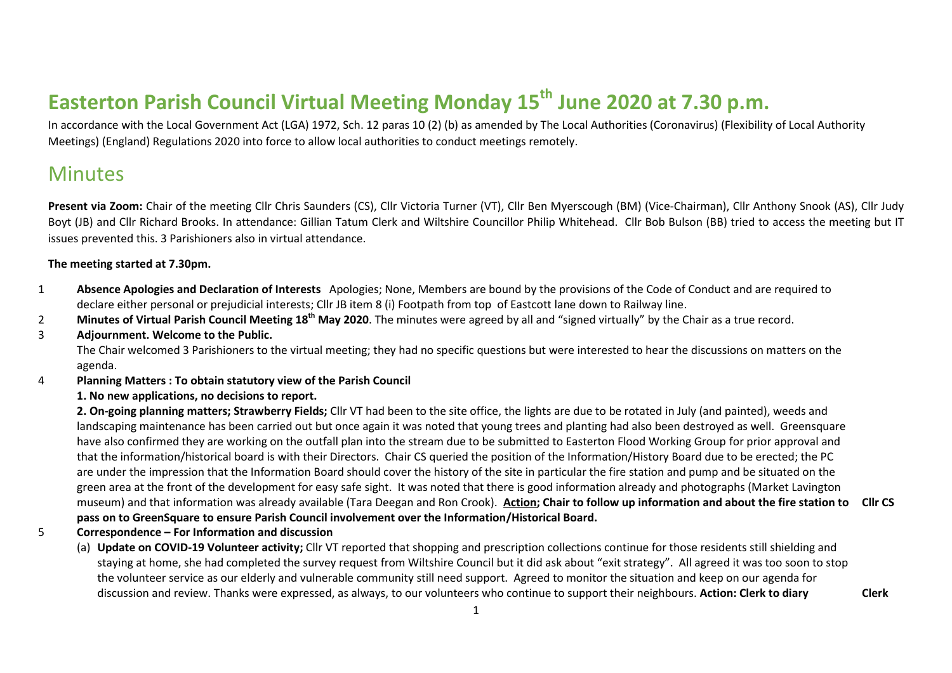# **Easterton Parish Council Virtual Meeting Monday 15th June 2020 at 7.30 p.m.**

In accordance with the Local Government Act (LGA) 1972, Sch. 12 paras 10 (2) (b) as amended by The Local Authorities (Coronavirus) (Flexibility of Local Authority Meetings) (England) Regulations 2020 into force to allow local authorities to conduct meetings remotely.

## **Minutes**

**Present via Zoom:** Chair of the meeting Cllr Chris Saunders (CS), Cllr Victoria Turner (VT), Cllr Ben Myerscough (BM) (Vice-Chairman), Cllr Anthony Snook (AS), Cllr Judy Boyt (JB) and Cllr Richard Brooks. In attendance: Gillian Tatum Clerk and Wiltshire Councillor Philip Whitehead. Cllr Bob Bulson (BB) tried to access the meeting but IT issues prevented this. 3 Parishioners also in virtual attendance.

### **The meeting started at 7.30pm.**

- 1 **Absence Apologies and Declaration of Interests** Apologies; None, Members are bound by the provisions of the Code of Conduct and are required to declare either personal or prejudicial interests; Cllr JB item 8 (i) Footpath from top of Eastcott lane down to Railway line.
- 2 **Minutes of Virtual Parish Council Meeting 18th May 2020**. The minutes were agreed by all and "signed virtually" by the Chair as a true record.
- 3 **Adjournment. Welcome to the Public.**

The Chair welcomed 3 Parishioners to the virtual meeting; they had no specific questions but were interested to hear the discussions on matters on the agenda.

### 4 **Planning Matters : To obtain statutory view of the Parish Council**

### **1. No new applications, no decisions to report.**

**2. On-going planning matters; Strawberry Fields;** Cllr VT had been to the site office, the lights are due to be rotated in July (and painted), weeds and landscaping maintenance has been carried out but once again it was noted that young trees and planting had also been destroyed as well. Greensquare have also confirmed they are working on the outfall plan into the stream due to be submitted to Easterton Flood Working Group for prior approval and that the information/historical board is with their Directors. Chair CS queried the position of the Information/History Board due to be erected; the PC are under the impression that the Information Board should cover the history of the site in particular the fire station and pump and be situated on the green area at the front of the development for easy safe sight. It was noted that there is good information already and photographs (Market Lavington museum) and that information was already available (Tara Deegan and Ron Crook). **Action; Chair to follow up information and about the fire station to pass on to GreenSquare to ensure Parish Council involvement over the Information/Historical Board. Cllr CS**

- 5 **Correspondence – For Information and discussion**
	- (a) **Update on COVID-19 Volunteer activity;** Cllr VT reported that shopping and prescription collections continue for those residents still shielding and staying at home, she had completed the survey request from Wiltshire Council but it did ask about "exit strategy". All agreed it was too soon to stop the volunteer service as our elderly and vulnerable community still need support. Agreed to monitor the situation and keep on our agenda for discussion and review. Thanks were expressed, as always, to our volunteers who continue to support their neighbours. **Action: Clerk to diary Clerk**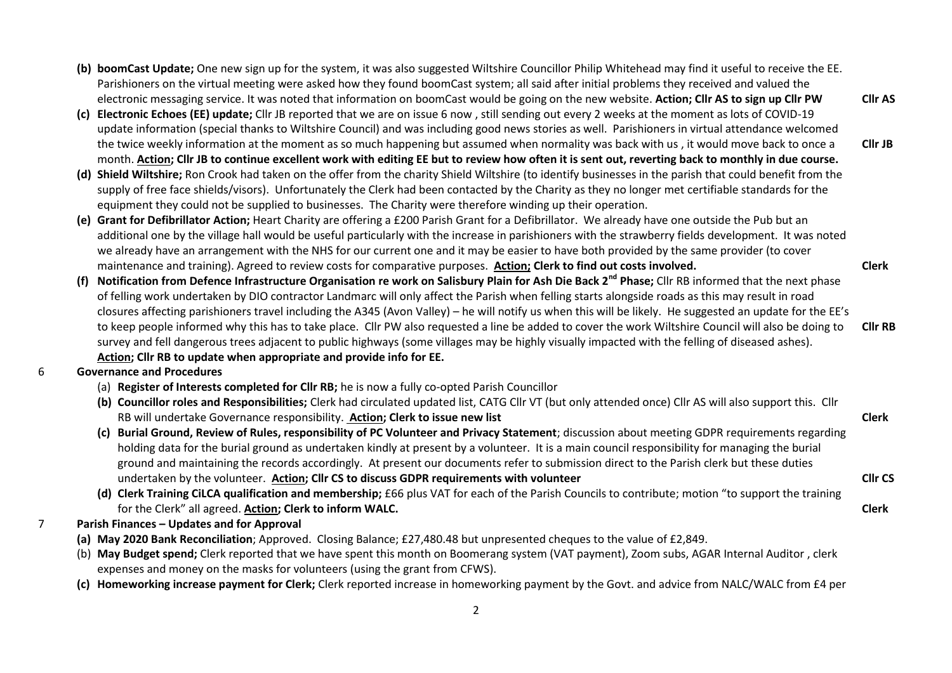**(b) boomCast Update;** One new sign up for the system, it was also suggested Wiltshire Councillor Philip Whitehead may find it useful to receive the EE. Parishioners on the virtual meeting were asked how they found boomCast system; all said after initial problems they received and valued the electronic messaging service. It was noted that information on boomCast would be going on the new website. **Action; Cllr AS to sign up Cllr PW**

**Cllr AS**

**Cllr JB**

**Clerk**

**Clerk**

**Cllr CS**

**Clerk**

- **(c) Electronic Echoes (EE) update;** Cllr JB reported that we are on issue 6 now , still sending out every 2 weeks at the moment as lots of COVID-19 update information (special thanks to Wiltshire Council) and was including good news stories as well. Parishioners in virtual attendance welcomed the twice weekly information at the moment as so much happening but assumed when normality was back with us , it would move back to once a month. **Action; Cllr JB to continue excellent work with editing EE but to review how often it is sent out, reverting back to monthly in due course.**
- **(d) Shield Wiltshire;** Ron Crook had taken on the offer from the charity Shield Wiltshire (to identify businesses in the parish that could benefit from the supply of free face shields/visors). Unfortunately the Clerk had been contacted by the Charity as they no longer met certifiable standards for the equipment they could not be supplied to businesses. The Charity were therefore winding up their operation.
- **(e) Grant for Defibrillator Action;** Heart Charity are offering a £200 Parish Grant for a Defibrillator. We already have one outside the Pub but an additional one by the village hall would be useful particularly with the increase in parishioners with the strawberry fields development. It was noted we already have an arrangement with the NHS for our current one and it may be easier to have both provided by the same provider (to cover maintenance and training). Agreed to review costs for comparative purposes. **Action; Clerk to find out costs involved.**
- **(f) Notification from Defence Infrastructure Organisation re work on Salisbury Plain for Ash Die Back 2nd Phase;** Cllr RB informed that the next phase of felling work undertaken by DIO contractor Landmarc will only affect the Parish when felling starts alongside roads as this may result in road closures affecting parishioners travel including the A345 (Avon Valley) – he will notify us when this will be likely. He suggested an update for the EE's to keep people informed why this has to take place. Cllr PW also requested a line be added to cover the work Wiltshire Council will also be doing to survey and fell dangerous trees adjacent to public highways (some villages may be highly visually impacted with the felling of diseased ashes). **Action; Cllr RB to update when appropriate and provide info for EE. Cllr RB**
- 6 **Governance and Procedures**
	- (a) **Register of Interests completed for Cllr RB;** he is now a fully co-opted Parish Councillor
	- **(b) Councillor roles and Responsibilities;** Clerk had circulated updated list, CATG Cllr VT (but only attended once) Cllr AS will also support this. Cllr RB will undertake Governance responsibility. **Action; Clerk to issue new list**
	- **(c) Burial Ground, Review of Rules, responsibility of PC Volunteer and Privacy Statement**; discussion about meeting GDPR requirements regarding holding data for the burial ground as undertaken kindly at present by a volunteer. It is a main council responsibility for managing the burial ground and maintaining the records accordingly. At present our documents refer to submission direct to the Parish clerk but these duties undertaken by the volunteer. **Action; Cllr CS to discuss GDPR requirements with volunteer**
	- **(d) Clerk Training CiLCA qualification and membership;** £66 plus VAT for each of the Parish Councils to contribute; motion "to support the training for the Clerk" all agreed. **Action; Clerk to inform WALC.**
- 7 **Parish Finances – Updates and for Approval** 
	- **(a) May 2020 Bank Reconciliation**; Approved. Closing Balance; £27,480.48 but unpresented cheques to the value of £2,849.
	- (b) **May Budget spend;** Clerk reported that we have spent this month on Boomerang system (VAT payment), Zoom subs, AGAR Internal Auditor , clerk expenses and money on the masks for volunteers (using the grant from CFWS).
	- **(c) Homeworking increase payment for Clerk;** Clerk reported increase in homeworking payment by the Govt. and advice from NALC/WALC from £4 per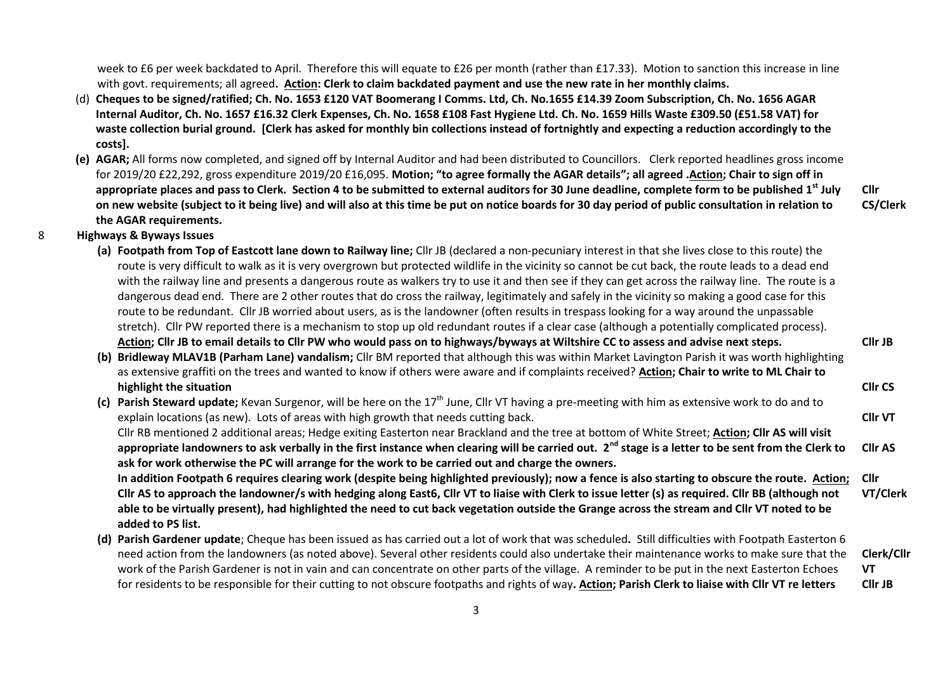week to £6 per week backdated to April. Therefore this will equate to £26 per month (rather than £17.33). Motion to sanction this increase in line with govt. requirements; all agreed**. Action: Clerk to claim backdated payment and use the new rate in her monthly claims.**

- (d) **Cheques to be signed/ratified; Ch. No. 1653 £120 VAT Boomerang I Comms. Ltd, Ch. No.1655 £14.39 Zoom Subscription, Ch. No. 1656 AGAR Internal Auditor, Ch. No. 1657 £16.32 Clerk Expenses, Ch. No. 1658 £108 Fast Hygiene Ltd. Ch. No. 1659 Hills Waste £309.50 (£51.58 VAT) for waste collection burial ground. [Clerk has asked for monthly bin collections instead of fortnightly and expecting a reduction accordingly to the costs].**
- **(e) AGAR;** All forms now completed, and signed off by Internal Auditor and had been distributed to Councillors. Clerk reported headlines gross income for 2019/20 £22,292, gross expenditure 2019/20 £16,095. **Motion; "to agree formally the AGAR details"; all agreed .Action; Chair to sign off in appropriate places and pass to Clerk. Section 4 to be submitted to external auditors for 30 June deadline, complete form to be published 1st July on new website (subject to it being live) and will also at this time be put on notice boards for 30 day period of public consultation in relation to the AGAR requirements.**

**Cllr CS/Clerk**

**Cllr JB**

**Cllr CS**

- 8 **Highways & Byways Issues**
	- **(a) Footpath from Top of Eastcott lane down to Railway line;** Cllr JB (declared a non-pecuniary interest in that she lives close to this route) the route is very difficult to walk as it is very overgrown but protected wildlife in the vicinity so cannot be cut back, the route leads to a dead end with the railway line and presents a dangerous route as walkers try to use it and then see if they can get across the railway line. The route is a dangerous dead end. There are 2 other routes that do cross the railway, legitimately and safely in the vicinity so making a good case for this route to be redundant. Cllr JB worried about users, as is the landowner (often results in trespass looking for a way around the unpassable stretch). Cllr PW reported there is a mechanism to stop up old redundant routes if a clear case (although a potentially complicated process). **Action; Cllr JB to email details to Cllr PW who would pass on to highways/byways at Wiltshire CC to assess and advise next steps.**
	- **(b) Bridleway MLAV1B (Parham Lane) vandalism;** Cllr BM reported that although this was within Market Lavington Parish it was worth highlighting as extensive graffiti on the trees and wanted to know if others were aware and if complaints received? **Action; Chair to write to ML Chair to highlight the situation**
	- **(c)** Parish Steward update; Kevan Surgenor, will be here on the 17<sup>th</sup> June, Cllr VT having a pre-meeting with him as extensive work to do and to explain locations (as new). Lots of areas with high growth that needs cutting back. Cllr RB mentioned 2 additional areas; Hedge exiting Easterton near Brackland and the tree at bottom of White Street; **Action; Cllr AS will visit appropriate landowners to ask verbally in the first instance when clearing will be carried out. 2nd stage is a letter to be sent from the Clerk to ask for work otherwise the PC will arrange for the work to be carried out and charge the owners. In addition Footpath 6 requires clearing work (despite being highlighted previously); now a fence is also starting to obscure the route. Action; Cllr AS to approach the landowner/s with hedging along East6, Cllr VT to liaise with Clerk to issue letter (s) as required. Cllr BB (although not able to be virtually present), had highlighted the need to cut back vegetation outside the Grange across the stream and Cllr VT noted to be Cllr VT Cllr AS Cllr VT/Clerk**

**added to PS list.**

- **(d) Parish Gardener update**; Cheque has been issued as has carried out a lot of work that was scheduled**.** Still difficulties with Footpath Easterton 6 need action from the landowners (as noted above). Several other residents could also undertake their maintenance works to make sure that the work of the Parish Gardener is not in vain and can concentrate on other parts of the village. A reminder to be put in the next Easterton Echoes for residents to be responsible for their cutting to not obscure footpaths and rights of way**. Action; Parish Clerk to liaise with Cllr VT re letters Clerk/Cllr VT Cllr JB**
	- 3